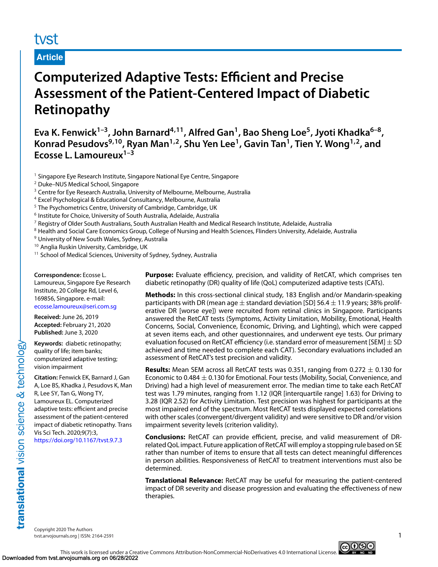## tyst

#### **Article**

# **Computerized Adaptive Tests: Efficient and Precise Assessment of the Patient-Centered Impact of Diabetic Retinopathy**

Eva K. Fenwick<sup>1-3</sup>, John Barnard<sup>4,11</sup>, Alfred Gan<sup>1</sup>, Bao Sheng Loe<sup>5</sup>, Jyoti Khadka<sup>6-8</sup>, **Konrad Pesudovs9,10, Ryan Man1,2, Shu Yen Lee1, Gavin Tan1, Tien Y. Wong1,2, and Ecosse L. Lamoureux1–3**

 $<sup>1</sup>$  Singapore Eye Research Institute, Singapore National Eye Centre, Singapore</sup>

- <sup>2</sup> Duke–NUS Medical School, Singapore
- <sup>3</sup> Centre for Eye Research Australia, University of Melbourne, Melbourne, Australia
- <sup>4</sup> Excel Psychological & Educational Consultancy, Melbourne, Australia
- <sup>5</sup> The Psychometrics Centre, University of Cambridge, Cambridge, UK
- <sup>6</sup> Institute for Choice, University of South Australia, Adelaide, Australia
- $7$  Registry of Older South Australians, South Australian Health and Medical Research Institute, Adelaide, Australia
- <sup>8</sup> Health and Social Care Economics Group, College of Nursing and Health Sciences, Flinders University, Adelaide, Australia
- <sup>9</sup> University of New South Wales, Sydney, Australia
- <sup>10</sup> Anglia Ruskin University, Cambridge, UK
- <sup>11</sup> School of Medical Sciences, University of Sydney, Sydney, Australia

**Correspondence:** Ecosse L.

Lamoureux, Singapore Eye Research Institute, 20 College Rd, Level 6, 169856, Singapore. e-mail: <ecosse.lamoureux@seri.com.sg>

**Received:** June 26, 2019

**Accepted:** February 21, 2020 **Published:** June 3, 2020

**Keywords:** diabetic retinopathy; quality of life; item banks; computerized adaptive testing; vision impairment

**Citation:** Fenwick EK, Barnard J, Gan A, Loe BS, Khadka J, Pesudovs K, Man R, Lee SY, Tan G, Wong TY, Lamoureux EL. Computerized adaptive tests: efficient and precise assessment of the patient-centered impact of diabetic retinopathy. Trans Vis Sci Tech. 2020;9(7):3, <https://doi.org/10.1167/tvst.9.7.3>

translational vision science & technology

**Purpose:** Evaluate efficiency, precision, and validity of RetCAT, which comprises ten diabetic retinopathy (DR) quality of life (QoL) computerized adaptive tests (CATs).

**Methods:** In this cross-sectional clinical study, 183 English and/or Mandarin-speaking participants with DR (mean age  $\pm$  standard deviation [SD] 56.4  $\pm$  11.9 years; 38% proliferative DR [worse eye]) were recruited from retinal clinics in Singapore. Participants answered the RetCAT tests (Symptoms, Activity Limitation, Mobility, Emotional, Health Concerns, Social, Convenience, Economic, Driving, and Lighting), which were capped at seven items each, and other questionnaires, and underwent eye tests. Our primary evaluation focused on RetCAT efficiency (i.e. standard error of measurement [SEM]  $\pm$  SD achieved and time needed to complete each CAT). Secondary evaluations included an assessment of RetCAT's test precision and validity.

**Results:** Mean SEM across all RetCAT tests was 0.351, ranging from 0.272 <sup>±</sup> 0.130 for Economic to 0.484  $\pm$  0.130 for Emotional. Four tests (Mobility, Social, Convenience, and Driving) had a high level of measurement error. The median time to take each RetCAT test was 1.79 minutes, ranging from 1.12 (IQR [interquartile range] 1.63) for Driving to 3.28 (IQR 2.52) for Activity Limitation. Test precision was highest for participants at the most impaired end of the spectrum. Most RetCAT tests displayed expected correlations with other scales (convergent/divergent validity) and were sensitive to DR and/or vision impairment severity levels (criterion validity).

**Conclusions:** RetCAT can provide efficient, precise, and valid measurement of DRrelated QoL impact. Future application of RetCAT will employ a stopping rule based on SE rather than number of items to ensure that all tests can detect meaningful differences in person abilities. Responsiveness of RetCAT to treatment interventions must also be determined.

**Translational Relevance:** RetCAT may be useful for measuring the patient-centered impact of DR severity and disease progression and evaluating the effectiveness of new therapies.

Copyright 2020 The Authors tvst.arvojournals.org | ISSN: 2164-2591 1

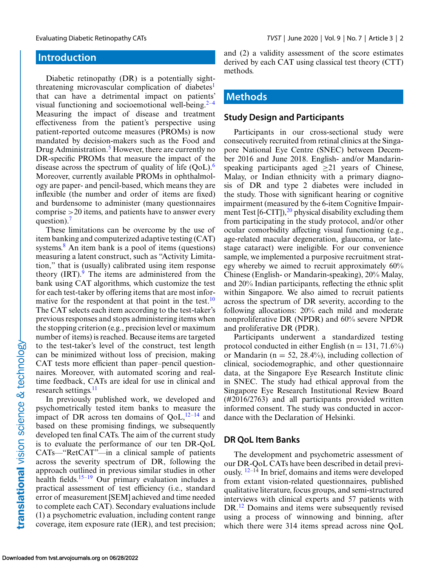### **Introduction**

Diabetic retinopathy (DR) is a potentially sightthreatening microvascular complication of diabetes<sup>1</sup> that can have a detrimental impact on patients' visual functioning and socioemotional well-being.<sup>2–4</sup> Measuring the impact of disease and treatment effectiveness from the patient's perspective using patient-reported outcome measures (PROMs) is now mandated by decision-makers such as the Food and Drug Administration.<sup>[5](#page-10-0)</sup> However, there are currently no DR-specific PROMs that measure the impact of the disease across the spectrum of quality of life  $(QoL)$ .<sup>[6](#page-10-0)</sup> Moreover, currently available PROMs in ophthalmology are paper- and pencil-based, which means they are inflexible (the number and order of items are fixed) and burdensome to administer (many questionnaires comprise >20 items, and patients have to answer every question). $<sup>7</sup>$ </sup>

These limitations can be overcome by the use of item banking and computerized adaptive testing (CAT) systems. $8$  An item bank is a pool of items (questions) measuring a latent construct, such as "Activity Limitation," that is (usually) calibrated using item response theory  $\text{(IRT)}$ <sup>[9](#page-10-0)</sup>. The items are administered from the bank using CAT algorithms, which customize the test for each test-taker by offering items that are most informative for the respondent at that point in the test.<sup>10</sup> The CAT selects each item according to the test-taker's previous responses and stops administering items when the stopping criterion (e.g., precision level or maximum number of items) is reached. Because items are targeted to the test-taker's level of the construct, test length can be minimized without loss of precision, making CAT tests more efficient than paper–pencil questionnaires. Moreover, with automated scoring and realtime feedback, CATs are ideal for use in clinical and research settings.<sup>[11](#page-10-0)</sup>

In previously published work, we developed and psychometrically tested item banks to measure the impact of DR across ten domains of  $QoL$ ,  $12-14$  and based on these promising findings, we subsequently developed ten final CATs. The aim of the current study is to evaluate the performance of our ten DR-QoL CATs—"RetCAT"—in a clinical sample of patients across the severity spectrum of DR, following the approach outlined in previous similar studies in other health fields.<sup>[15–19](#page-10-0)</sup> Our primary evaluation includes a practical assessment of test efficiency (i.e., standard error of measurement [SEM] achieved and time needed to complete each CAT). Secondary evaluations include (1) a psychometric evaluation, including content range coverage, item exposure rate (IER), and test precision; and (2) a validity assessment of the score estimates derived by each CAT using classical test theory (CTT) methods.

### **Methods**

#### **Study Design and Participants**

Participants in our cross-sectional study were consecutively recruited from retinal clinics at the Singapore National Eye Centre (SNEC) between December 2016 and June 2018. English- and/or Mandarinspeaking participants aged  $\geq 21$  years of Chinese, Malay, or Indian ethnicity with a primary diagnosis of DR and type 2 diabetes were included in the study. Those with significant hearing or cognitive impairment (measured by the 6-item Cognitive Impairment Test  $[6-CT]$ ,<sup>20</sup> physical disability excluding them from participating in the study protocol, and/or other ocular comorbidity affecting visual functioning (e.g., age-related macular degeneration, glaucoma, or latestage cataract) were ineligible. For our convenience sample, we implemented a purposive recruitment strategy whereby we aimed to recruit approximately 60% Chinese (English- or Mandarin-speaking), 20% Malay, and 20% Indian participants, reflecting the ethnic split within Singapore. We also aimed to recruit patients across the spectrum of DR severity, according to the following allocations: 20% each mild and moderate nonproliferative DR (NPDR) and 60% severe NPDR and proliferative DR (PDR).

Participants underwent a standardized testing protocol conducted in either English ( $n = 131, 71.6\%$ ) or Mandarin ( $n = 52$ , 28.4%), including collection of clinical, sociodemographic, and other questionnaire data, at the Singapore Eye Research Institute clinic in SNEC. The study had ethical approval from the Singapore Eye Research Institutional Review Board (#2016/2763) and all participants provided written informed consent. The study was conducted in accordance with the Declaration of Helsinki.

#### **DR QoL Item Banks**

The development and psychometric assessment of our DR-QoL CATs have been described in detail previously. [12–](#page-10-0)14 In brief, domains and items were developed from extant vision-related questionnaires, published qualitative literature, focus groups, and semi-structured interviews with clinical experts and 57 patients with DR.[12](#page-10-0) Domains and items were subsequently revised using a process of winnowing and binning, after which there were 314 items spread across nine QoL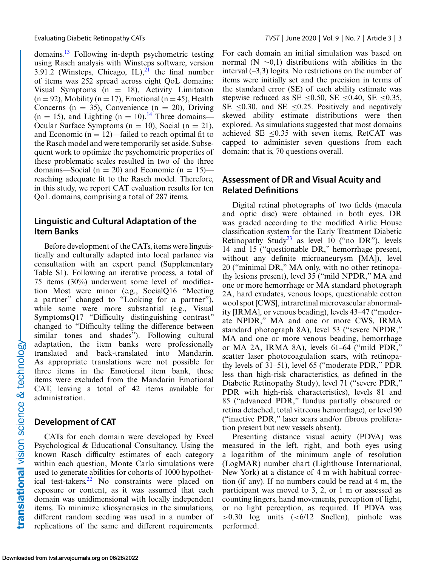domains.[13](#page-10-0) Following in-depth psychometric testing using Rasch analysis with Winsteps software, version 3.91.2 (Winsteps, Chicago, IL), $^{21}$  $^{21}$  $^{21}$  the final number of items was 252 spread across eight QoL domains: Visual Symptoms  $(n = 18)$ , Activity Limitation  $(n = 92)$ , Mobility  $(n = 17)$ , Emotional  $(n = 45)$ , Health Concerns ( $n = 35$ ), Convenience ( $n = 20$ ), Driving  $(n = 15)$ , and Lighting  $(n = 10)$ .<sup>[14](#page-10-0)</sup> Three domains— Ocular Surface Symptoms ( $n = 10$ ), Social ( $n = 21$ ), and Economic ( $n = 12$ )—failed to reach optimal fit to the Rasch model and were temporarily set aside. Subsequent work to optimize the psychometric properties of these problematic scales resulted in two of the three domains—Social (n = 20) and Economic (n = 15) reaching adequate fit to the Rasch model. Therefore, in this study, we report CAT evaluation results for ten QoL domains, comprising a total of 287 items.

#### **Linguistic and Cultural Adaptation of the Item Banks**

Before development of the CATs, items were linguistically and culturally adapted into local parlance via consultation with an expert panel (Supplementary Table S1). Following an iterative process, a total of 75 items (30%) underwent some level of modification Most were minor (e.g., SocialQ16 "Meeting a partner" changed to "Looking for a partner"), while some were more substantial (e.g., Visual SymptomsQ17 "Difficulty distinguishing contrast" changed to "Difficulty telling the difference between similar tones and shades"). Following cultural adaptation, the item banks were professionally translated and back-translated into Mandarin. As appropriate translations were not possible for three items in the Emotional item bank, these items were excluded from the Mandarin Emotional CAT, leaving a total of 42 items available for administration.

#### **Development of CAT**

CATs for each domain were developed by Excel Psychological & Educational Consultancy. Using the known Rasch difficulty estimates of each category within each question, Monte Carlo simulations were used to generate abilities for cohorts of 1000 hypothet-ical test-takers.<sup>[22](#page-10-0)</sup> No constraints were placed on exposure or content, as it was assumed that each domain was unidimensional with locally independent items. To minimize idiosyncrasies in the simulations, different random seeding was used in a number of replications of the same and different requirements.

For each domain an initial simulation was based on normal (N  $\sim$ 0,1) distributions with abilities in the interval  $(-3,3)$  logits. No restrictions on the number of items were initially set and the precision in terms of the standard error (SE) of each ability estimate was stepwise reduced as SE <0.50, SE <0.40, SE <0.35, SE  $\leq$ 0.30, and SE  $\leq$ 0.25. Positively and negatively skewed ability estimate distributions were then explored. As simulations suggested that most domains achieved SE  $\leq$ 0.35 with seven items, RetCAT was capped to administer seven questions from each domain; that is, 70 questions overall.

#### **Assessment of DR and Visual Acuity and Related Definitions**

Digital retinal photographs of two fields (macula and optic disc) were obtained in both eyes. DR was graded according to the modified Airlie House classification system for the Early Treatment Diabetic Retinopathy Study<sup>[23](#page-10-0)</sup> as level 10 ("no DR"), levels 14 and 15 ("questionable DR," hemorrhage present, without any definite microaneurysm [MA]), level 20 ("minimal DR," MA only, with no other retinopathy lesions present), level 35 ("mild NPDR," MA and one or more hemorrhage or MA standard photograph 2A, hard exudates, venous loops, questionable cotton wool spot [CWS], intraretinal microvascular abnormality [IRMA], or venous beading), levels 43–47 ("moderate NPDR," MA and one or more CWS, IRMA standard photograph 8A), level 53 ("severe NPDR," MA and one or more venous beading, hemorrhage or MA 2A, IRMA 8A), levels 61–64 ("mild PDR," scatter laser photocoagulation scars, with retinopathy levels of 31–51), level 65 ("moderate PDR," PDR less than high-risk characteristics, as defined in the Diabetic Retinopathy Study), level 71 ("severe PDR," PDR with high-risk characteristics), levels 81 and 85 ("advanced PDR," fundus partially obscured or retina detached, total vitreous hemorrhage), or level 90 ("inactive PDR," laser scars and/or fibrous proliferation present but new vessels absent).

Presenting distance visual acuity (PDVA) was measured in the left, right, and both eyes using a logarithm of the minimum angle of resolution (LogMAR) number chart (Lighthouse International, New York) at a distance of 4 m with habitual correction (if any). If no numbers could be read at 4 m, the participant was moved to 3, 2, or 1 m or assessed as counting fingers, hand movements, perception of light, or no light perception, as required. If PDVA was  $>0.30$  log units  $( $6/12$  Snellen), pinhole was$ performed.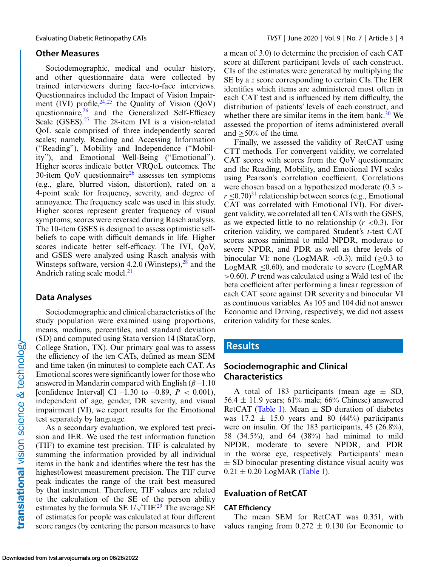#### **Other Measures**

Sociodemographic, medical and ocular history, and other questionnaire data were collected by trained interviewers during face-to-face interviews. Questionnaires included the Impact of Vision Impairment (IVI) profile,  $24,25$  $24,25$  the Quality of Vision ( $\dot{Q}oV$ ) questionnaire, $26$  and the Generalized Self-Efficacy Scale (GSES).<sup>[27](#page-11-0)</sup> The 28-item IVI is a vision-related QoL scale comprised of three independently scored scales; namely, Reading and Accessing Information ("Reading"), Mobility and Independence ("Mobility"), and Emotional Well-Being ("Emotional"). Higher scores indicate better VRQoL outcomes. The 30-item  $OoV$  questionnaire<sup>26</sup> assesses ten symptoms (e.g., glare, blurred vision, distortion), rated on a 4-point scale for frequency, severity, and degree of annoyance. The frequency scale was used in this study. Higher scores represent greater frequency of visual symptoms; scores were reversed during Rasch analysis. The 10-item GSES is designed to assess optimistic selfbeliefs to cope with difficult demands in life. Higher scores indicate better self-efficacy. The IVI, QoV, and GSES were analyzed using Rasch analysis with Winsteps software, version 4.2.0 (Winsteps), $28$  and the Andrich rating scale model. $^{21}$  $^{21}$  $^{21}$ 

#### **Data Analyses**

Sociodemographic and clinical characteristics of the study population were examined using proportions, means, medians, percentiles, and standard deviation (SD) and computed using Stata version 14 (StataCorp, College Station, TX). Our primary goal was to assess the efficiency of the ten CATs, defined as mean SEM and time taken (in minutes) to complete each CAT. As Emotional scores were significantly lower for those who answered in Mandarin compared with English  $(\beta -1.10)$ [confidence Interval] CI –1.30 to –0.89,  $P < 0.001$ ), independent of age, gender, DR severity, and visual impairment (VI), we report results for the Emotional test separately by language.

As a secondary evaluation, we explored test precision and IER. We used the test information function (TIF) to examine test precision. TIF is calculated by summing the information provided by all individual items in the bank and identifies where the test has the highest/lowest measurement precision. The TIF curve peak indicates the range of the trait best measured by that instrument. Therefore, TIF values are related to the calculation of the SE of the person ability estimates by the formula SE  $1/\sqrt{T}$ IF.<sup>[29](#page-11-0)</sup> The average SE of estimates for people was calculated at four different score ranges (by centering the person measures to have a mean of 3.0) to determine the precision of each CAT score at different participant levels of each construct. CIs of the estimates were generated by multiplying the SE by a *z* score corresponding to certain CIs. The IER identifies which items are administered most often in each CAT test and is influenced by item difficulty, the distribution of patients' levels of each construct, and whether there are similar items in the item bank. $30$  We assessed the proportion of items administered overall and  $\geq$  50% of the time.

Finally, we assessed the validity of RetCAT using CTT methods. For convergent validity, we correlated CAT scores with scores from the QoV questionnaire and the Reading, Mobility, and Emotional IVI scales using Pearson's correlation coefficient. Correlations were chosen based on a hypothesized moderate (0.3 >  $r \leq 0.70$ <sup>31</sup> relationship between scores (e.g., Emotional CAT was correlated with Emotional IVI). For divergent validity, we correlated all ten CATs with the GSES, as we expected little to no relationship  $(r < 0.3)$ . For criterion validity, we compared Student's *t*-test CAT scores across minimal to mild NPDR, moderate to severe NPDR, and PDR as well as three levels of binocular VI: none (LogMAR <0.3), mild  $(>0.3$  to LogMAR  $\leq$ 0.60), and moderate to severe (LogMAR >0.60). *P* trend was calculated using a Wald test of the beta coefficient after performing a linear regression of each CAT score against DR severity and binocular VI as continuous variables. As 105 and 104 did not answer Economic and Driving, respectively, we did not assess criterion validity for these scales.

#### **Results**

#### **Sociodemographic and Clinical Characteristics**

A total of 183 participants (mean age  $\pm$  SD, 56.4  $\pm$  11.9 years; 61% male; 66% Chinese) answered RetCAT [\(Table 1\)](#page-4-0). Mean  $\pm$  SD duration of diabetes was  $17.2 \pm 15.0$  years and 80 (44%) participants were on insulin. Of the 183 participants, 45 (26.8%), 58 (34.5%), and 64 (38%) had minimal to mild NPDR, moderate to severe NPDR, and PDR in the worse eye, respectively. Participants' mean  $\pm$  SD binocular presenting distance visual acuity was  $0.21 \pm 0.20$  LogMAR [\(Table 1\)](#page-4-0).

#### **Evaluation of RetCAT**

#### **CAT Efficiency**

The mean SEM for RetCAT was 0.351, with values ranging from  $0.272 \pm 0.130$  for Economic to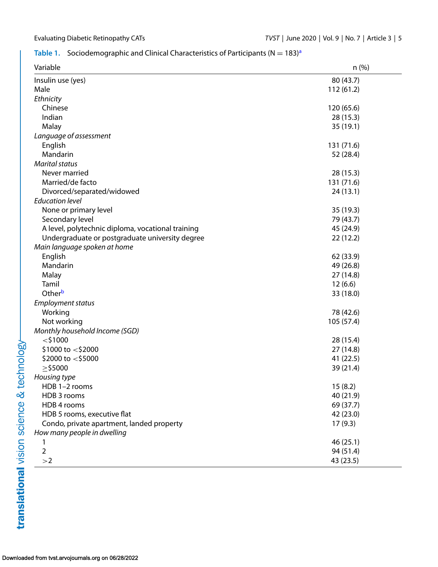#### <span id="page-4-0"></span>**T[a](#page-5-0)ble 1.** Sociodemographic and Clinical Characteristics of Participants  $(N = 183)^a$

| Variable                                          | n(%)       |
|---------------------------------------------------|------------|
| Insulin use (yes)                                 | 80 (43.7)  |
| Male                                              | 112(61.2)  |
| Ethnicity                                         |            |
| Chinese                                           | 120 (65.6) |
| Indian                                            | 28(15.3)   |
| Malay                                             | 35(19.1)   |
| Language of assessment                            |            |
| English                                           | 131 (71.6) |
| Mandarin                                          | 52 (28.4)  |
| <b>Marital status</b>                             |            |
| Never married                                     | 28 (15.3)  |
| Married/de facto                                  | 131 (71.6) |
| Divorced/separated/widowed                        | 24(13.1)   |
| <b>Education level</b>                            |            |
| None or primary level                             | 35 (19.3)  |
| Secondary level                                   | 79 (43.7)  |
| A level, polytechnic diploma, vocational training | 45 (24.9)  |
| Undergraduate or postgraduate university degree   | 22(12.2)   |
| Main language spoken at home                      |            |
| English                                           | 62 (33.9)  |
| Mandarin                                          | 49 (26.8)  |
| Malay                                             | 27 (14.8)  |
| Tamil                                             | 12(6.6)    |
| Other <sup>b</sup>                                | 33 (18.0)  |
| <b>Employment status</b>                          |            |
| Working                                           | 78 (42.6)  |
| Not working                                       | 105 (57.4) |
| Monthly household Income (SGD)                    |            |
| $<$ \$1000                                        | 28 (15.4)  |
| $$1000$ to $<$ \$2000                             | 27 (14.8)  |
| \$2000 to $<$ \$5000                              | 41 (22.5)  |
| $\geq$ \$5000                                     | 39 (21.4)  |
| Housing type                                      |            |
| HDB 1-2 rooms                                     | 15(8.2)    |
| HDB 3 rooms                                       | 40 (21.9)  |
| HDB 4 rooms                                       | 69 (37.7)  |
| HDB 5 rooms, executive flat                       | 42 (23.0)  |
| Condo, private apartment, landed property         | 17(9.3)    |
| How many people in dwelling                       |            |
|                                                   | 46 (25.1)  |
| $\overline{2}$                                    | 94 (51.4)  |
| >2                                                | 43 (23.5)  |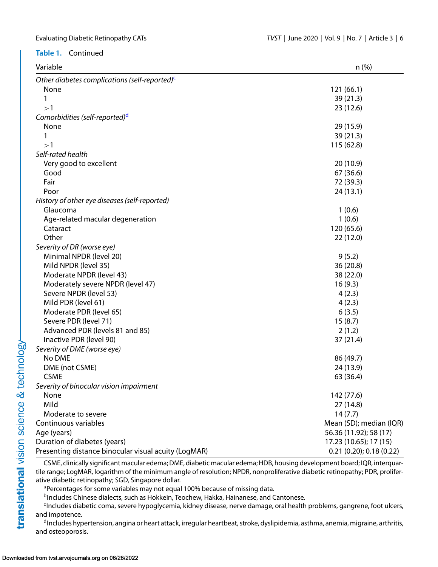#### <span id="page-5-0"></span>**Table 1.** Continued

| Variable                                                | $n$ (%)                 |
|---------------------------------------------------------|-------------------------|
| Other diabetes complications (self-reported) $\epsilon$ |                         |
| None                                                    | 121(66.1)               |
| 1                                                       | 39(21.3)                |
| >1                                                      | 23(12.6)                |
| Comorbidities (self-reported) <sup>d</sup>              |                         |
| None                                                    | 29 (15.9)               |
| 1                                                       | 39 (21.3)               |
| >1                                                      | 115(62.8)               |
| Self-rated health                                       |                         |
| Very good to excellent                                  | 20(10.9)                |
| Good                                                    | 67 (36.6)               |
| Fair                                                    | 72 (39.3)               |
| Poor                                                    | 24(13.1)                |
| History of other eye diseases (self-reported)           |                         |
| Glaucoma                                                | 1(0.6)                  |
| Age-related macular degeneration                        | 1(0.6)                  |
| Cataract                                                | 120 (65.6)              |
| Other                                                   | 22(12.0)                |
| Severity of DR (worse eye)                              |                         |
| Minimal NPDR (level 20)                                 | 9(5.2)                  |
| Mild NPDR (level 35)                                    | 36(20.8)                |
| Moderate NPDR (level 43)                                | 38 (22.0)               |
| Moderately severe NPDR (level 47)                       | 16(9.3)                 |
| Severe NPDR (level 53)                                  | 4(2.3)                  |
| Mild PDR (level 61)                                     | 4(2.3)                  |
| Moderate PDR (level 65)                                 | 6(3.5)                  |
| Severe PDR (level 71)                                   | 15(8.7)                 |
| Advanced PDR (levels 81 and 85)                         | 2(1.2)                  |
| Inactive PDR (level 90)                                 | 37 (21.4)               |
| Severity of DME (worse eye)                             |                         |
| No DME                                                  | 86 (49.7)               |
| DME (not CSME)                                          | 24 (13.9)               |
| <b>CSME</b>                                             | 63 (36.4)               |
| Severity of binocular vision impairment                 |                         |
| None                                                    | 142 (77.6)              |
| Mild                                                    | 27(14.8)                |
| Moderate to severe                                      | 14(7.7)                 |
| Continuous variables                                    | Mean (SD); median (IQR) |
| Age (years)                                             | 56.36 (11.92); 58 (17)  |
| Duration of diabetes (years)                            | 17.23 (10.65); 17 (15)  |
| Presenting distance binocular visual acuity (LogMAR)    | 0.21(0.20); 0.18(0.22)  |

CSME, clinically significant macular edema; DME, diabetic macular edema; HDB, housing development board; IQR, interquartile range; LogMAR, logarithm of the minimum angle of resolution; NPDR, nonproliferative diabetic retinopathy; PDR, proliferative diabetic retinopathy; SGD, Singapore dollar.

<sup>a</sup>Percentages for some variables may not equal 100% because of missing data.

**bIncludes Chinese dialects, such as Hokkein, Teochew, Hakka, Hainanese, and Cantonese.** 

<sup>c</sup>Includes diabetic coma, severe hypoglycemia, kidney disease, nerve damage, oral health problems, gangrene, foot ulcers, and impotence.

dIncludes hypertension, angina or heart attack, irregular heartbeat, stroke, dyslipidemia, asthma, anemia, migraine, arthritis, and osteoporosis.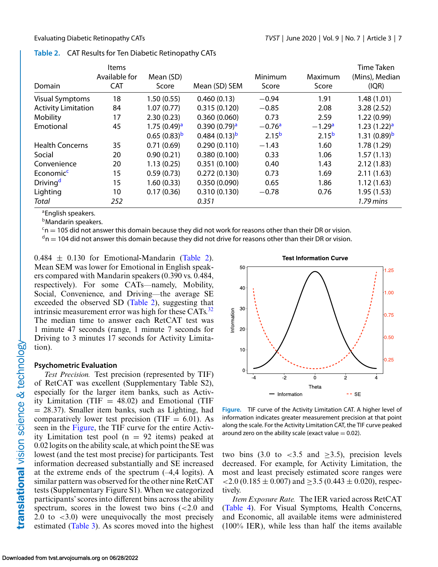|                            | <b>Items</b>  |                         |                          |            |            | Time Taken              |
|----------------------------|---------------|-------------------------|--------------------------|------------|------------|-------------------------|
|                            | Available for | Mean (SD)               |                          | Minimum    | Maximum    | (Mins), Median          |
| Domain                     | <b>CAT</b>    | Score                   | Mean (SD) SEM            | Score      | Score      | I(QR)                   |
| <b>Visual Symptoms</b>     | 18            | 1.50(0.55)              | 0.460(0.13)              | $-0.94$    | 1.91       | 1.48(1.01)              |
| <b>Activity Limitation</b> | 84            | 1.07(0.77)              | 0.315(0.120)             | $-0.85$    | 2.08       | 3.28(2.52)              |
| Mobility                   | 17            | 2.30(0.23)              | 0.360(0.060)             | 0.73       | 2.59       | 1.22(0.99)              |
| Emotional                  | 45            | 1.75(0.49) <sup>a</sup> | 0.390(0.79) <sup>a</sup> | $-0.76a$   | $-1.29a$   | 1.23(1.22) <sup>a</sup> |
|                            |               | $0.65(0.83)^b$          | $0.484(0.13)^b$          | $2.15^{b}$ | $2.15^{b}$ | 1.31 $(0.89)^b$         |
| <b>Health Concerns</b>     | 35            | 0.71(0.69)              | 0.290(0.110)             | $-1.43$    | 1.60       | 1.78(1.29)              |
| Social                     | 20            | 0.90(0.21)              | 0.380(0.100)             | 0.33       | 1.06       | 1.57(1.13)              |
| Convenience                | 20            | 1.13(0.25)              | 0.351(0.100)             | 0.40       | 1.43       | 2.12(1.83)              |
| Economic <sup>c</sup>      | 15            | 0.59(0.73)              | 0.272(0.130)             | 0.73       | 1.69       | 2.11(1.63)              |
| Driving <sup>d</sup>       | 15            | 1.60(0.33)              | 0.350(0.090)             | 0.65       | 1.86       | 1.12(1.63)              |
| Lighting                   | 10            | 0.17(0.36)              | 0.310(0.130)             | $-0.78$    | 0.76       | 1.95(1.53)              |
| Total                      | 252           |                         | 0.351                    |            |            | 1.79 mins               |

#### **Table 2.** CAT Results for Ten Diabetic Retinopathy CATs

aEnglish speakers.

**b**Mandarin speakers.

 $c_n$  = 105 did not answer this domain because they did not work for reasons other than their DR or vision.

 $d_n = 104$  did not answer this domain because they did not drive for reasons other than their DR or vision.

 $0.484 \pm 0.130$  for Emotional-Mandarin (Table 2). Mean SEM was lower for Emotional in English speakers compared with Mandarin speakers (0.390 vs. 0.484, respectively). For some CATs—namely, Mobility, Social, Convenience, and Driving—the average SE exceeded the observed SD (Table 2), suggesting that intrinsic measurement error was high for these CATs. $32$ The median time to answer each RetCAT test was 1 minute 47 seconds (range, 1 minute 7 seconds for Driving to 3 minutes 17 seconds for Activity Limitation).

#### **Psychometric Evaluation**

*Test Precision.* Test precision (represented by TIF) of RetCAT was excellent (Supplementary Table S2), especially for the larger item banks, such as Activity Limitation (TIF  $= 48.02$ ) and Emotional (TIF  $= 28.37$ ). Smaller item banks, such as Lighting, had comparatively lower test precision (TIF  $= 6.01$ ). As seen in the Figure, the TIF curve for the entire Activity Limitation test pool  $(n = 92$  items) peaked at 0.02 logits on the ability scale, at which point the SE was lowest (and the test most precise) for participants. Test information decreased substantially and SE increased at the extreme ends of the spectrum  $(-4,4 \text{ logits})$ . A similar pattern was observed for the other nine RetCAT tests (Supplementary Figure S1). When we categorized participants' scores into different bins across the ability spectrum, scores in the lowest two bins  $\left( < 2.0 \right)$  and 2.0 to  $\langle 3.0 \rangle$  were unequivocally the most precisely estimated [\(Table 3\)](#page-7-0). As scores moved into the highest



**Figure.** TIF curve of the Activity Limitation CAT. A higher level of information indicates greater measurement precision at that point along the scale. For the Activity Limitation CAT, the TIF curve peaked around zero on the ability scale (exact value  $= 0.02$ ).

two bins (3.0 to <3.5 and  $\geq$ 3.5), precision levels decreased. For example, for Activity Limitation, the most and least precisely estimated score ranges were  $\leq$  2.0 (0.185  $\pm$  0.007) and  $>$  3.5 (0.443  $\pm$  0.020), respectively.

*Item Exposure Rate.* The IER varied across RetCAT [\(Table 4\)](#page-7-0). For Visual Symptoms, Health Concerns, and Economic, all available items were administered (100% IER), while less than half the items available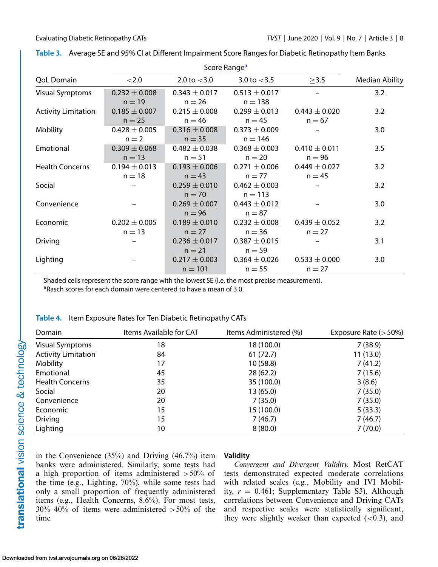| Score Range <sup>a</sup>   |                   |                   |                   |                   |                |
|----------------------------|-------------------|-------------------|-------------------|-------------------|----------------|
| <b>QoL Domain</b>          | < 2.0             | 2.0 to $<$ 3.0    | 3.0 to $<$ 3.5    | $\geq$ 3.5        | Median Ability |
| <b>Visual Symptoms</b>     | $0.232 \pm 0.008$ | $0.343 \pm 0.017$ | $0.513 \pm 0.017$ |                   | 3.2            |
|                            | $n = 19$          | $n = 26$          | $n = 138$         |                   |                |
| <b>Activity Limitation</b> | $0.185 \pm 0.007$ | $0.215 \pm 0.008$ | $0.299 \pm 0.013$ | $0.443 \pm 0.020$ | 3.2            |
|                            | $n = 25$          | $n = 46$          | $n = 45$          | $n = 67$          |                |
| Mobility                   | $0.428 \pm 0.005$ | $0.316 \pm 0.008$ | $0.373 \pm 0.009$ |                   | 3.0            |
|                            | $n = 2$           | $n = 35$          | $n = 146$         |                   |                |
| Emotional                  | $0.309 \pm 0.068$ | $0.482 \pm 0.038$ | $0.368 \pm 0.003$ | $0.410 \pm 0.011$ | 3.5            |
|                            | $n = 13$          | $n = 51$          | $n = 20$          | $n = 96$          |                |
| <b>Health Concerns</b>     | $0.194 \pm 0.013$ | $0.193 \pm 0.006$ | $0.271 \pm 0.006$ | $0.449 \pm 0.027$ | 3.2            |
|                            | $n = 18$          | $n = 43$          | $n = 77$          | $n = 45$          |                |
| Social                     |                   | $0.259 \pm 0.010$ | $0.462 \pm 0.003$ |                   | 3.2            |
|                            |                   | $n = 70$          | $n = 113$         |                   |                |
| Convenience                |                   | $0.269 \pm 0.007$ | $0.443 \pm 0.012$ |                   | 3.0            |
|                            |                   | $n = 96$          | $n = 87$          |                   |                |
| Economic                   | $0.202 \pm 0.005$ | $0.189 \pm 0.010$ | $0.232 \pm 0.008$ | $0.439 \pm 0.052$ | 3.2            |
|                            | $n = 13$          | $n = 27$          | $n = 36$          | $n = 27$          |                |
| Driving                    |                   | $0.236 \pm 0.017$ | $0.387 \pm 0.015$ |                   | 3.1            |
|                            |                   | $n = 21$          | $n = 59$          |                   |                |
| Lighting                   |                   | $0.217 \pm 0.003$ | $0.364 \pm 0.026$ | $0.533 \pm 0.000$ | 3.0            |
|                            |                   | $n = 101$         | $n = 55$          | $n = 27$          |                |

<span id="page-7-0"></span>

|  |  | Table 3. Average SE and 95% CI at Different Impairment Score Ranges for Diabetic Retinopathy Item Banks |  |
|--|--|---------------------------------------------------------------------------------------------------------|--|
|  |  |                                                                                                         |  |

Shaded cells represent the score range with the lowest SE (i.e. the most precise measurement). <sup>a</sup>Rasch scores for each domain were centered to have a mean of 3.0.

| Domain                     | Items Available for CAT | Items Administered (%) | Exposure Rate $(>50\%)$ |
|----------------------------|-------------------------|------------------------|-------------------------|
| <b>Visual Symptoms</b>     | 18                      | 18 (100.0)             | 7(38.9)                 |
| <b>Activity Limitation</b> | 84                      | 61(72.7)               | 11(13.0)                |
| Mobility                   | 17                      | 10(58.8)               | 7(41.2)                 |
| Emotional                  | 45                      | 28(62.2)               | 7(15.6)                 |
| <b>Health Concerns</b>     | 35                      | 35 (100.0)             | 3(8.6)                  |
| Social                     | 20                      | 13(65.0)               | 7(35.0)                 |
| Convenience                | 20                      | 7(35.0)                | 7(35.0)                 |
| Economic                   | 15                      | 15 (100.0)             | 5(33.3)                 |
| <b>Driving</b>             | 15                      | 7(46.7)                | 7(46.7)                 |
| Lighting                   | 10                      | 8(80.0)                | 7(70.0)                 |

|  | Table 4. Item Exposure Rates for Ten Diabetic Retinopathy CATs |  |
|--|----------------------------------------------------------------|--|
|  |                                                                |  |

in the Convenience (35%) and Driving (46.7%) item banks were administered. Similarly, some tests had a high proportion of items administered  $>50\%$  of the time (e.g., Lighting, 70%), while some tests had only a small proportion of frequently administered items (e.g., Health Concerns, 8.6%). For most tests,  $30\%$ –40% of items were administered  $>50\%$  of the time.

#### **Validity**

*Convergent and Divergent Validity.* Most RetCAT tests demonstrated expected moderate correlations with related scales (e.g., Mobility and IVI Mobility, *r* = 0.461; Supplementary Table S3). Although correlations between Convenience and Driving CATs and respective scales were statistically significant, they were slightly weaker than expected  $(<0.3)$ , and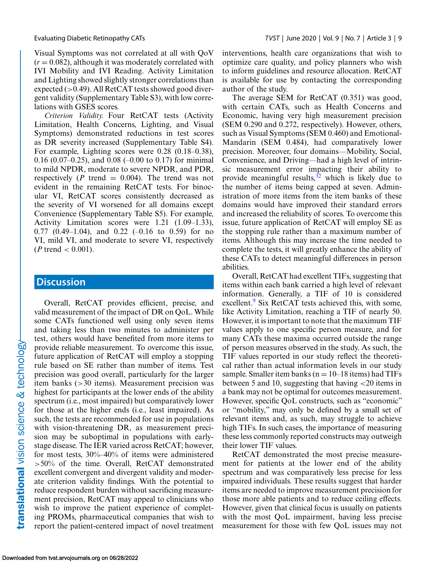Visual Symptoms was not correlated at all with QoV  $(r = 0.082)$ , although it was moderately correlated with IVI Mobility and IVI Reading. Activity Limitation and Lighting showed slightly stronger correlations than expected  $(>0.49)$ . All RetCAT tests showed good divergent validity (Supplementary Table S3), with low correlations with GSES scores.

*Criterion Validity.* Four RetCAT tests (Activity Limitation, Health Concerns, Lighting, and Visual Symptoms) demonstrated reductions in test scores as DR severity increased (Supplementary Table S4). For example, Lighting scores were 0.28 (0.18–0.38), 0.16 (0.07–0.25), and 0.08 (–0.00 to 0.17) for minimal to mild NPDR, moderate to severe NPDR, and PDR, respectively ( $P$  trend = 0.004). The trend was not evident in the remaining RetCAT tests. For binocular VI, RetCAT scores consistently decreased as the severity of VI worsened for all domains except Convenience (Supplementary Table S5). For example, Activity Limitation scores were 1.21 (1.09–1.33), 0.77 (0.49–1.04), and 0.22 (–0.16 to 0.59) for no VI, mild VI, and moderate to severe VI, respectively (*P* trend < 0.001).

#### **Discussion**

Overall, RetCAT provides efficient, precise, and valid measurement of the impact of DR on QoL. While some CATs functioned well using only seven items and taking less than two minutes to administer per test, others would have benefited from more items to provide reliable measurement. To overcome this issue, future application of RetCAT will employ a stopping rule based on SE rather than number of items. Test precision was good overall, particularly for the larger item banks (>30 items). Measurement precision was highest for participants at the lower ends of the ability spectrum (i.e., most impaired) but comparatively lower for those at the higher ends (i.e., least impaired). As such, the tests are recommended for use in populations with vision-threatening DR, as measurement precision may be suboptimal in populations with earlystage disease. The IER varied across RetCAT; however, for most tests, 30%–40% of items were administered >50% of the time. Overall, RetCAT demonstrated excellent convergent and divergent validity and moderate criterion validity findings. With the potential to reduce respondent burden without sacrificing measurement precision, RetCAT may appeal to clinicians who wish to improve the patient experience of completing PROMs, pharmaceutical companies that wish to report the patient-centered impact of novel treatment

interventions, health care organizations that wish to optimize care quality, and policy planners who wish to inform guidelines and resource allocation. RetCAT is available for use by contacting the corresponding author of the study.

The average SEM for RetCAT (0.351) was good, with certain CATs, such as Health Concerns and Economic, having very high measurement precision (SEM 0.290 and 0.272, respectively). However, others, such as Visual Symptoms (SEM 0.460) and Emotional-Mandarin (SEM 0.484), had comparatively lower precision. Moreover, four domains—Mobility, Social, Convenience, and Driving—had a high level of intrinsic measurement error impacting their ability to provide meaningful results,  $32$  which is likely due to the number of items being capped at seven. Administration of more items from the item banks of these domains would have improved their standard errors and increased the reliability of scores. To overcome this issue, future application of RetCAT will employ SE as the stopping rule rather than a maximum number of items. Although this may increase the time needed to complete the tests, it will greatly enhance the ability of these CATs to detect meaningful differences in person abilities.

Overall, RetCAT had excellent TIFs, suggesting that items within each bank carried a high level of relevant information. Generally, a TIF of 10 is considered excellent.<sup>[9](#page-10-0)</sup> Six RetCAT tests achieved this, with some, like Activity Limitation, reaching a TIF of nearly 50. However, it is important to note that the maximum TIF values apply to one specific person measure, and for many CATs these maxima occurred outside the range of person measures observed in the study. As such, the TIF values reported in our study reflect the theoretical rather than actual information levels in our study sample. Smaller item banks ( $n = 10-18$  items) had TIFs between 5 and 10, suggesting that having  $\langle 20 \rangle$  items in a bank may not be optimal for outcomes measurement. However, specific QoL constructs, such as "economic" or "mobility," may only be defined by a small set of relevant items and, as such, may struggle to achieve high TIFs. In such cases, the importance of measuring these less commonly reported constructs may outweigh their lower TIF values.

RetCAT demonstrated the most precise measurement for patients at the lower end of the ability spectrum and was comparatively less precise for less impaired individuals. These results suggest that harder items are needed to improve measurement precision for those more able patients and to reduce ceiling effects. However, given that clinical focus is usually on patients with the most QoL impairment, having less precise measurement for those with few QoL issues may not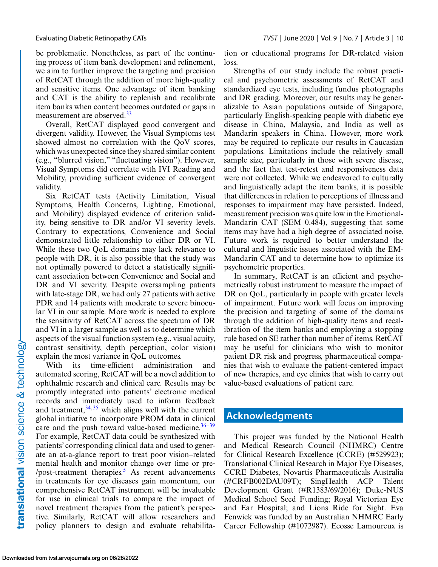be problematic. Nonetheless, as part of the continuing process of item bank development and refinement, we aim to further improve the targeting and precision of RetCAT through the addition of more high-quality and sensitive items. One advantage of item banking and CAT is the ability to replenish and recalibrate item banks when content becomes outdated or gaps in measurement are observed.<sup>[33](#page-11-0)</sup>

Overall, RetCAT displayed good convergent and divergent validity. However, the Visual Symptoms test showed almost no correlation with the QoV scores, which was unexpected since they shared similar content (e.g., "blurred vision," "fluctuating vision"). However, Visual Symptoms did correlate with IVI Reading and Mobility, providing sufficient evidence of convergent validity.

Six RetCAT tests (Activity Limitation, Visual Symptoms, Health Concerns, Lighting, Emotional, and Mobility) displayed evidence of criterion validity, being sensitive to DR and/or VI severity levels. Contrary to expectations, Convenience and Social demonstrated little relationship to either DR or VI. While these two QoL domains may lack relevance to people with DR, it is also possible that the study was not optimally powered to detect a statistically significant association between Convenience and Social and DR and VI severity. Despite oversampling patients with late-stage DR, we had only 27 patients with active PDR and 14 patients with moderate to severe binocular VI in our sample. More work is needed to explore the sensitivity of RetCAT across the spectrum of DR and VI in a larger sample as well as to determine which aspects of the visual function system (e.g., visual acuity, contrast sensitivity, depth perception, color vision) explain the most variance in QoL outcomes.

With its time-efficient administration and automated scoring, RetCAT will be a novel addition to ophthalmic research and clinical care. Results may be promptly integrated into patients' electronic medical records and immediately used to inform feedback and treatment, $34,35$  which aligns well with the current global initiative to incorporate PROM data in clinical care and the push toward value-based medicine.  $36-39$ For example, RetCAT data could be synthesized with patients' corresponding clinical data and used to generate an at-a-glance report to treat poor vision–related mental health and monitor change over time or pre- /post-treatment therapies. $5$  As recent advancements in treatments for eye diseases gain momentum, our comprehensive RetCAT instrument will be invaluable for use in clinical trials to compare the impact of novel treatment therapies from the patient's perspective. Similarly, RetCAT will allow researchers and policy planners to design and evaluate rehabilitation or educational programs for DR-related vision loss.

Strengths of our study include the robust practical and psychometric assessments of RetCAT and standardized eye tests, including fundus photographs and DR grading. Moreover, our results may be generalizable to Asian populations outside of Singapore, particularly English-speaking people with diabetic eye disease in China, Malaysia, and India as well as Mandarin speakers in China. However, more work may be required to replicate our results in Caucasian populations. Limitations include the relatively small sample size, particularly in those with severe disease, and the fact that test-retest and responsiveness data were not collected. While we endeavored to culturally and linguistically adapt the item banks, it is possible that differences in relation to perceptions of illness and responses to impairment may have persisted. Indeed, measurement precision was quite low in the Emotional-Mandarin CAT (SEM 0.484), suggesting that some items may have had a high degree of associated noise. Future work is required to better understand the cultural and linguistic issues associated with the EM-Mandarin CAT and to determine how to optimize its psychometric properties.

In summary, RetCAT is an efficient and psychometrically robust instrument to measure the impact of DR on QoL, particularly in people with greater levels of impairment. Future work will focus on improving the precision and targeting of some of the domains through the addition of high-quality items and recalibration of the item banks and employing a stopping rule based on SE rather than number of items. RetCAT may be useful for clinicians who wish to monitor patient DR risk and progress, pharmaceutical companies that wish to evaluate the patient-centered impact of new therapies, and eye clinics that wish to carry out value-based evaluations of patient care.

#### **Acknowledgments**

This project was funded by the National Health and Medical Research Council (NHMRC) Centre for Clinical Research Excellence (CCRE) (#529923); Translational Clinical Research in Major Eye Diseases, CCRE Diabetes, Novartis Pharmaceuticals Australia (#CRFB002DAU09T); SingHealth ACP Talent Development Grant (#R1383/69/2016); Duke-NUS Medical School Seed Funding; Royal Victorian Eye and Ear Hospital; and Lions Ride for Sight. Eva Fenwick was funded by an Australian NHMRC Early Career Fellowship (#1072987). Ecosse Lamoureux is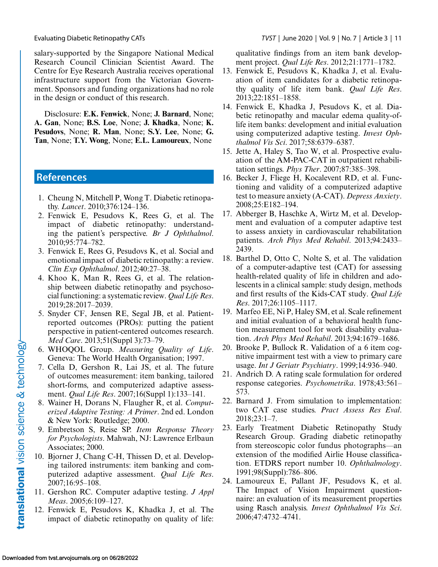<span id="page-10-0"></span>salary-supported by the Singapore National Medical Research Council Clinician Scientist Award. The Centre for Eye Research Australia receives operational infrastructure support from the Victorian Government. Sponsors and funding organizations had no role in the design or conduct of this research.

Disclosure: **E.K. Fenwick**, None; **J. Barnard**, None; **A. Gan**, None; **B.S. Loe**, None; **J. Khadka**, None; **K. Pesudovs**, None; **R. Man**, None; **S.Y. Lee**, None; **G. Tan**, None; **T.Y. Wong**, None; **E.L. Lamoureux**, None

## **References**

- 1. Cheung N, Mitchell P, Wong T. Diabetic retinopathy. *Lancet*. 2010;376:124–136.
- 2. Fenwick E, Pesudovs K, Rees G, et al. The impact of diabetic retinopathy: understanding the patient's perspective. *Br J Ophthalmol*. 2010;95:774–782.
- 3. Fenwick E, Rees G, Pesudovs K, et al. Social and emotional impact of diabetic retinopathy: a review. *Clin Exp Ophthalmol*. 2012;40:27–38.
- 4. Khoo K, Man R, Rees G, et al. The relationship between diabetic retinopathy and psychosocial functioning: a systematic review. *Qual Life Res*. 2019;28:2017–2039.
- 5. Snyder CF, Jensen RE, Segal JB, et al. Patientreported outcomes (PROs): putting the patient perspective in patient-centered outcomes research. *Med Care*. 2013;51(Suppl 3):73–79.
- 6. WHOQOL Group. *Measuring Quality of Life*. Geneva: The World Health Organisation; 1997.
- 7. Cella D, Gershon R, Lai JS, et al. The future of outcomes measurement: item banking, tailored short-forms, and computerized adaptive assessment. *Qual Life Res*. 2007;16(Suppl 1):133–141.
- 8. Wainer H, Dorans N, Flaugher R, et al. *Computerized Adaptive Testing: A Primer*. 2nd ed. London & New York: Routledge; 2000.
- 9. Embretson S, Reise SP. *Item Response Theory for Psychologists*. Mahwah, NJ: Lawrence Erlbaun Associates; 2000.
- 10. Bjorner J, Chang C-H, Thissen D, et al. Developing tailored instruments: item banking and computerized adaptive assessment. *Qual Life Res*. 2007;16:95–108.
- 11. Gershon RC. Computer adaptive testing. *J Appl Meas*. 2005;6:109–127.
- 12. Fenwick E, Pesudovs K, Khadka J, et al. The impact of diabetic retinopathy on quality of life:

qualitative findings from an item bank development project. *Qual Life Res*. 2012;21:1771–1782.

- 13. Fenwick E, Pesudovs K, Khadka J, et al. Evaluation of item candidates for a diabetic retinopathy quality of life item bank. *Qual Life Res*. 2013;22:1851–1858.
- 14. Fenwick E, Khadka J, Pesudovs K, et al. Diabetic retinopathy and macular edema quality-oflife item banks: development and initial evaluation using computerized adaptive testing. *Invest Ophthalmol Vis Sci*. 2017;58:6379–6387.
- 15. Jette A, Haley S, Tao W, et al. Prospective evaluation of the AM-PAC-CAT in outpatient rehabilitation settings. *Phys Ther*. 2007;87:385–398.
- 16. Becker J, Fliege H, Kocalevent RD, et al. Functioning and validity of a computerized adaptive test to measure anxiety (A-CAT). *Depress Anxiety*. 2008;25:E182–194.
- 17. Abberger B, Haschke A, Wirtz M, et al. Development and evaluation of a computer adaptive test to assess anxiety in cardiovascular rehabilitation patients. *Arch Phys Med Rehabil*. 2013;94:2433– 2439.
- 18. Barthel D, Otto C, Nolte S, et al. The validation of a computer-adaptive test (CAT) for assessing health-related quality of life in children and adolescents in a clinical sample: study design, methods and first results of the Kids-CAT study. *Qual Life Res*. 2017;26:1105–1117.
- 19. Marfeo EE, Ni P, Haley SM, et al. Scale refinement and initial evaluation of a behavioral health function measurement tool for work disability evaluation. *Arch Phys Med Rehabil*. 2013;94:1679–1686.
- 20. Brooke P, Bullock R. Validation of a 6 item cognitive impairment test with a view to primary care usage. *Int J Geriatr Psychiatry*. 1999;14:936–940.
- 21. Andrich D. A rating scale formulation for ordered response categories. *Psychometrika*. 1978;43:561– 573.
- 22. Barnard J. From simulation to implementation: two CAT case studies. *Pract Assess Res Eval*. 2018;23:1–7.
- 23. Early Treatment Diabetic Retinopathy Study Research Group. Grading diabetic retinopathy from stereoscopic color fundus photographs—an extension of the modified Airlie House classification. ETDRS report number 10. *Ophthalmology*. 1991;98(Suppl):786–806.
- 24. Lamoureux E, Pallant JF, Pesudovs K, et al. The Impact of Vision Impairment questionnaire: an evaluation of its measurement properties using Rasch analysis. *Invest Ophthalmol Vis Sci*. 2006;47:4732–4741.